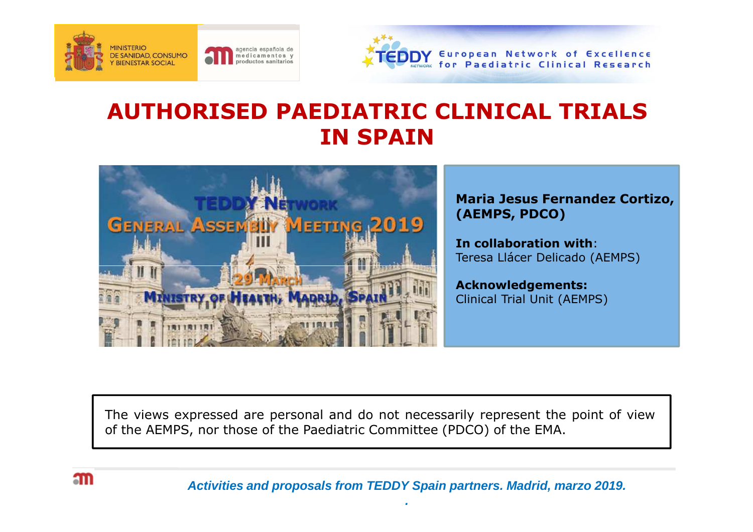



# **AUTHORISED PAEDIATRIC CLINICAL TRIALS IN SPAIN**



**Maria Jesus Fernandez Cortizo, (AEMPS, PDCO)**

**In collaboration with**: Teresa Llácer Delicado (AEMPS)

**Acknowledgements:**Clinical Trial Unit (AEMPS)

The views expressed are personal and do not necessarily represent the point of view of the AEMPS, nor those of the Paediatric Committee (PDCO) of the EMA.



**Activities and proposals from TEDDY Spain partners. Madrid, marzo 2019.**

**.**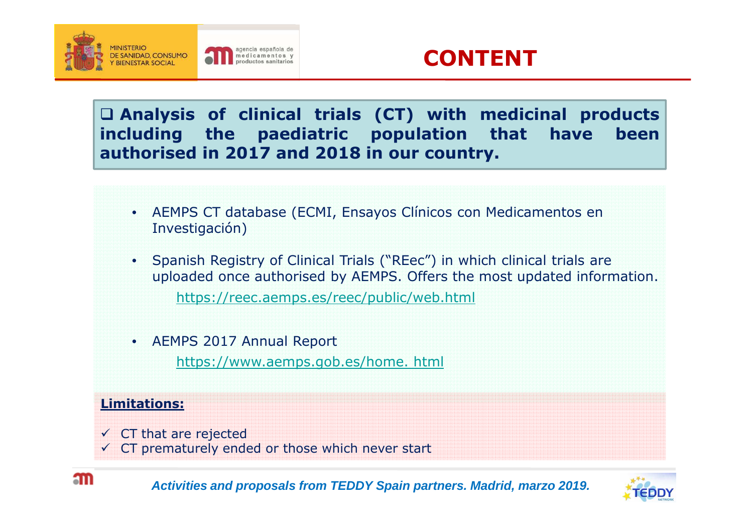



 **Analysis of clinical trials (CT) with medicinal products including the paediatric population that have been authorised in <sup>2017</sup> and <sup>2018</sup> in our country.**

- AEMPS CT database (ECMI, Ensayos Clínicos con Medicamentos enInvestigación)
	- Spanish Registry of Clinical Trials ("REec") in which clinical trials are uploaded once authorised by AEMPS. Offers the most updated information. https://reec.aemps.es/reec/public/web.html
	- AEMPS 2017 Annual Report https://www.aemps.gob.es/home. html

#### **Limitations:**

- $\checkmark$  CT that are rejected
- $\checkmark$  CT prematurely ended or those which never start

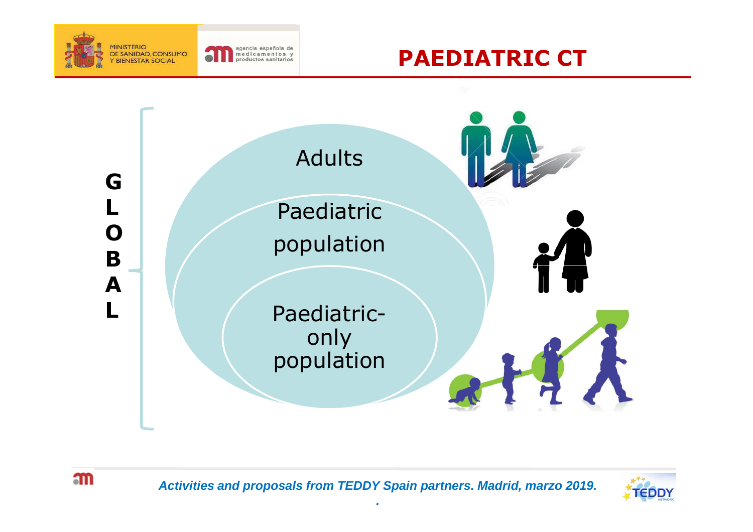

agencia española de<br>medicamentos y<br>productos sanitarios





**.**



 $m$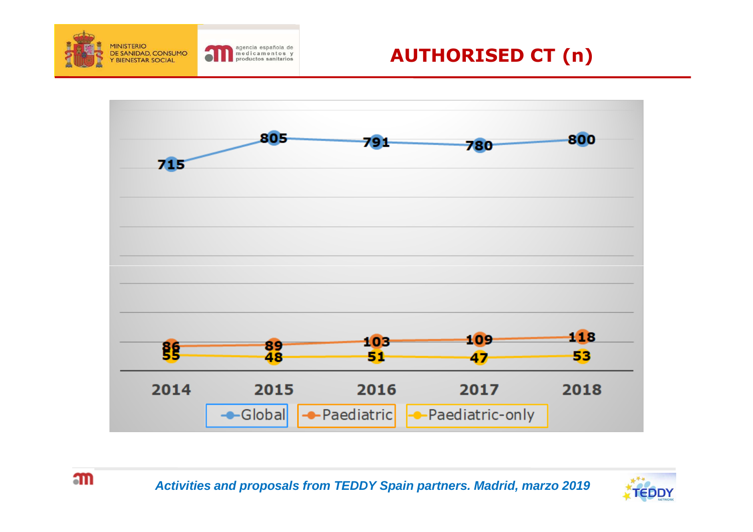

## **AUTHORISED CT (n)**



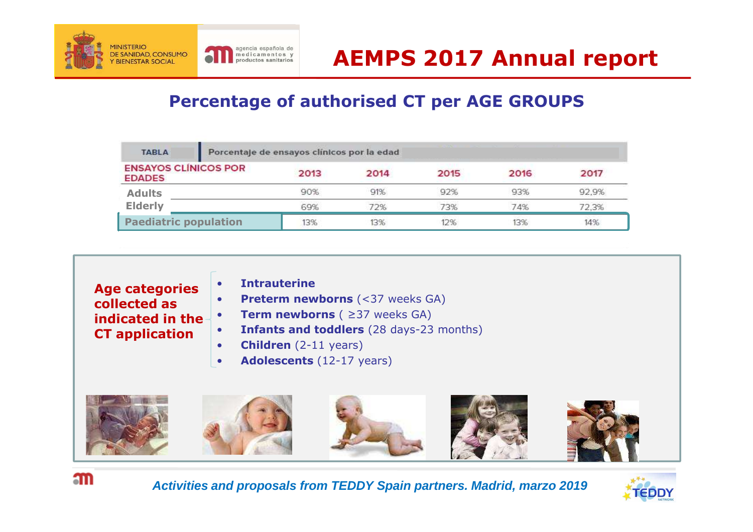

### **Percentage of authorised CT per AGE GROUPS**

| <b>TABLA</b>                                 |  | Porcentaje de ensayos clínicos por la edad |      |      |      |       |  |
|----------------------------------------------|--|--------------------------------------------|------|------|------|-------|--|
| <b>ENSAYOS CLÍNICOS POR</b><br><b>EDADES</b> |  | 2013                                       | 2014 | 2015 | 2016 | 2017  |  |
| <b>Adults</b>                                |  | 90%                                        | 91%  | 92%  | 93%  | 92.9% |  |
| <b>Elderly</b>                               |  | 69%                                        | 72%  | 73%  | 74%  | 72,3% |  |
| <b>Paediatric population</b>                 |  | 13%                                        | 13%  | 12%  | 13%  | 14%   |  |

| <b>Age categories</b> | <b>Intrauterine</b><br>$\bullet$                             |
|-----------------------|--------------------------------------------------------------|
| collected as          | <b>Preterm newborns (&lt;37 weeks GA)</b><br>$\bullet$       |
| indicated in the      | <b>Term newborns</b> ( $\geq$ 37 weeks GA)<br>$\bullet$      |
| <b>CT</b> application | <b>Infants and toddlers</b> (28 days-23 months)<br>$\bullet$ |
|                       | <b>Children</b> $(2-11 \text{ years})$                       |
|                       | <b>Adolescents</b> (12-17 years)<br>$\bullet$                |
|                       |                                                              |



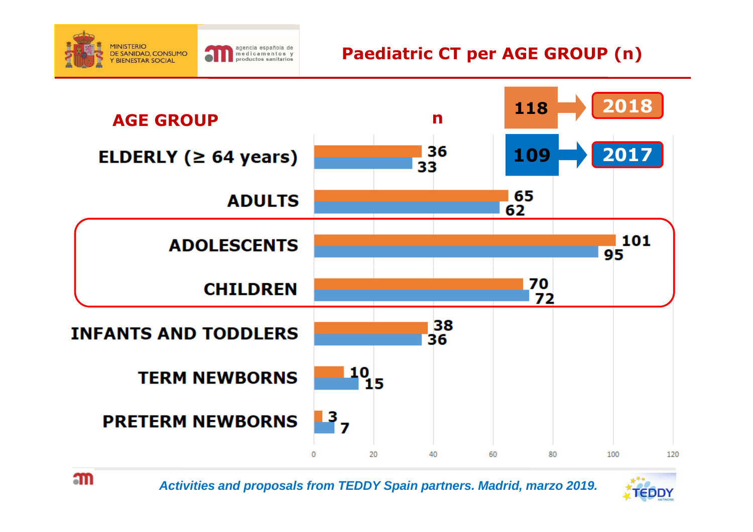

### **Paediatric CT per AGE GROUP (n)**



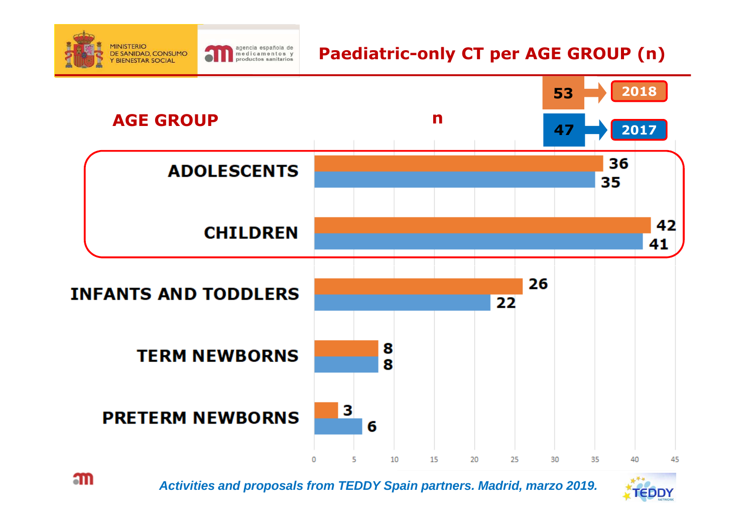

#### **Paediatric-only CT per AGE GROUP (n)**



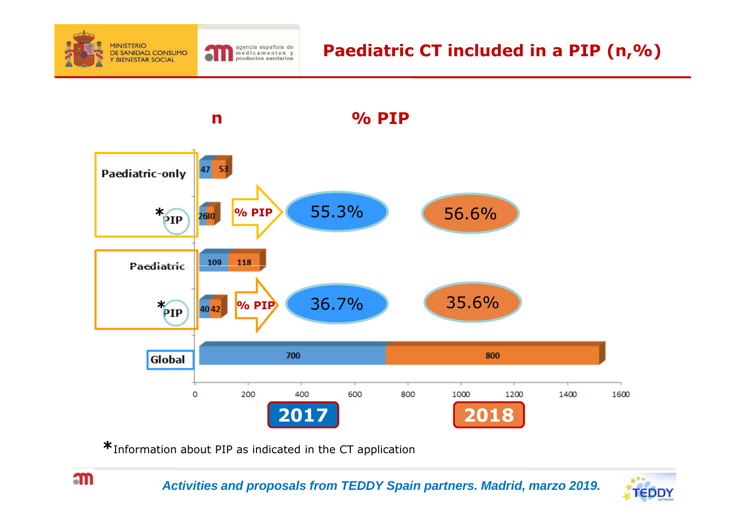

**m** 



**\***Information about PIP as indicated in the CT application

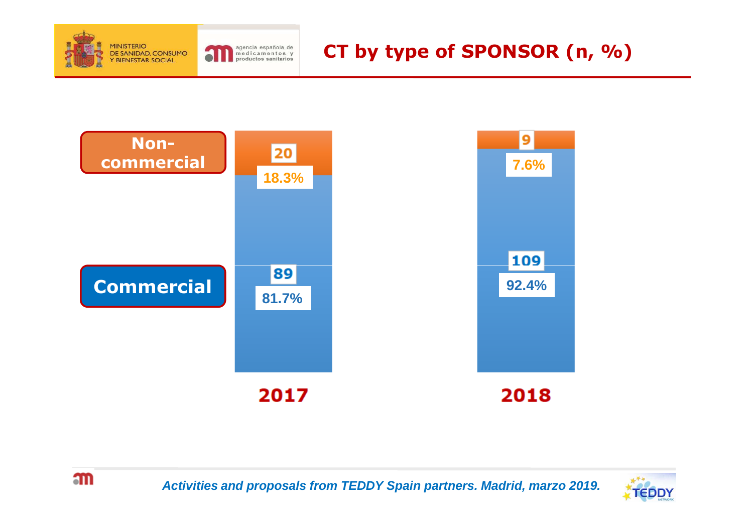

m



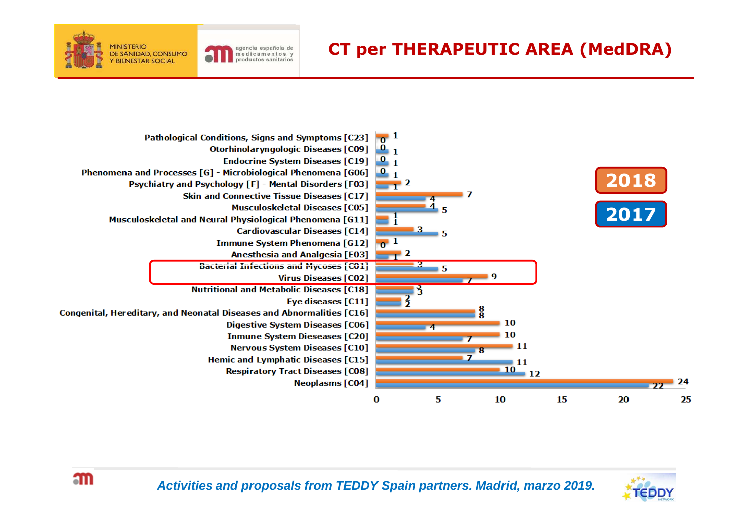





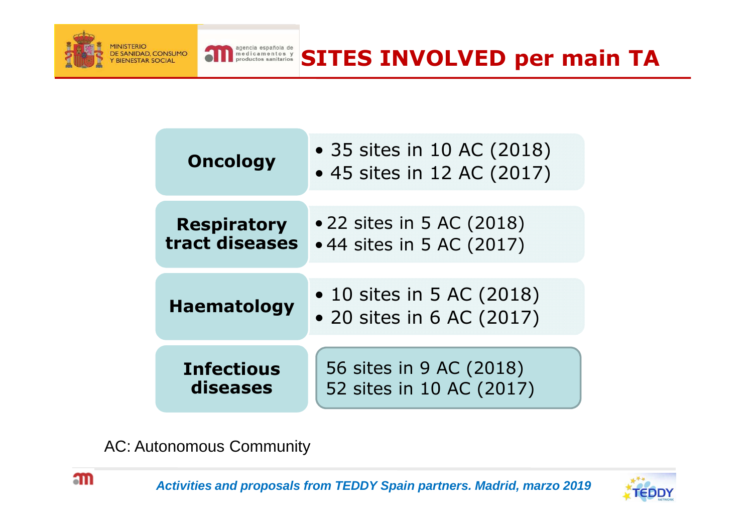

| <b>Oncology</b>    | • 35 sites in 10 AC (2018)<br>• 45 sites in 12 AC (2017) |
|--------------------|----------------------------------------------------------|
| <b>Respiratory</b> | • 22 sites in 5 AC (2018)                                |
| tract diseases     | • 44 sites in 5 AC (2017)                                |
| <b>Haematology</b> | • 10 sites in 5 AC (2018)<br>• 20 sites in 6 AC (2017)   |
| <b>Infectious</b>  | 56 sites in 9 AC (2018)                                  |
| diseases           | 52 sites in 10 AC (2017)                                 |

**SITES INVOLVED per main TA** 

AC: Autonomous Community



m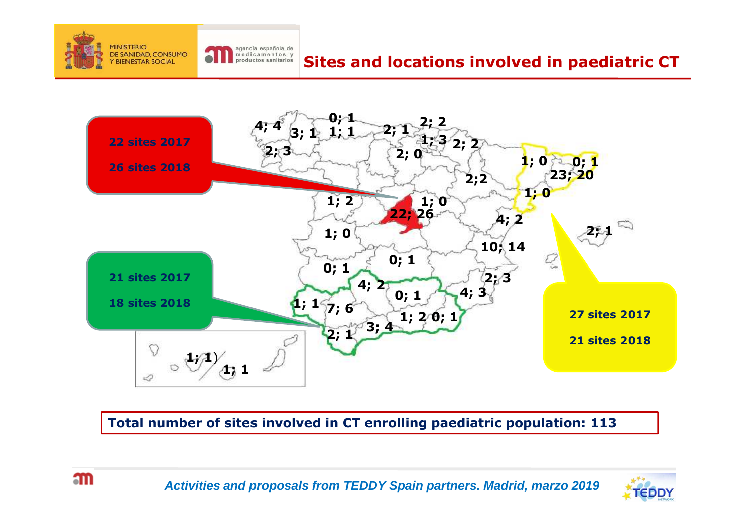

#### **Sites and locations involved in paediatric CT**



**Total number of sites involved in CT enrolling paediatric population: 113** 



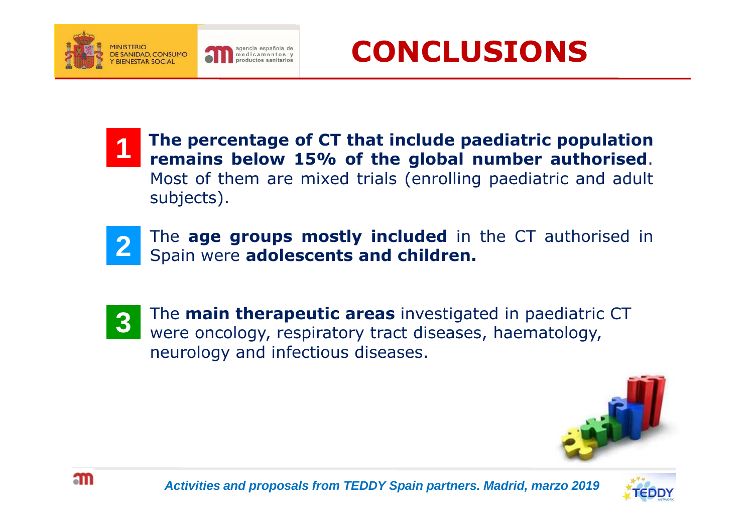



- **The percentage of CT that include paediatric population remains below 15% of the global number authorised**. Most of them are mixed trials (enrolling paediatric and adult subjects).**1**
- The **age groups mostly included** in the CT authorised in **2**Spain were **adolescents and children.**
- **3**
- The **main therapeutic areas** investigated in paediatric CT were oncology, respiratory tract diseases, haematology, neurology and infectious diseases.





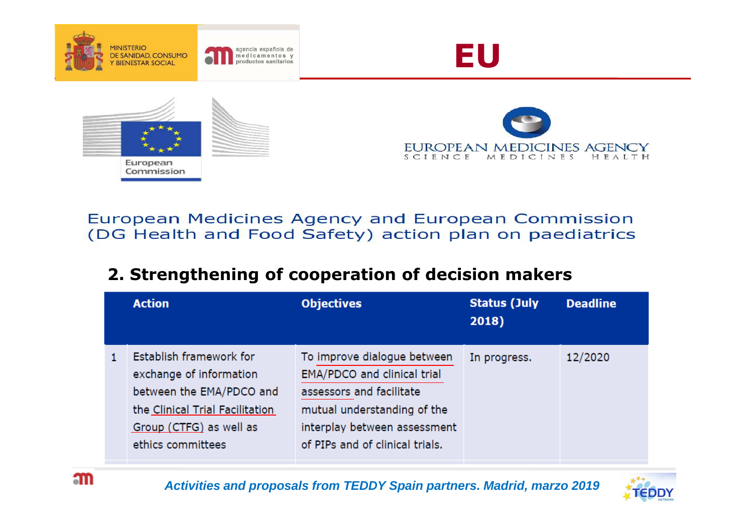

#### European Medicines Agency and European Commission (DG Health and Food Safety) action plan on paediatrics

#### **2. Strengthening of cooperation of decision makers**

| <b>Action</b>                                                                                                                                                     | <b>Objectives</b>                                                                                                                                                                        | <b>Status (July</b><br>2018) | <b>Deadline</b> |
|-------------------------------------------------------------------------------------------------------------------------------------------------------------------|------------------------------------------------------------------------------------------------------------------------------------------------------------------------------------------|------------------------------|-----------------|
| Establish framework for<br>exchange of information<br>between the EMA/PDCO and<br>the Clinical Trial Facilitation<br>Group (CTFG) as well as<br>ethics committees | To improve dialogue between<br>EMA/PDCO and clinical trial<br>assessors and facilitate<br>mutual understanding of the<br>interplay between assessment<br>of PIPs and of clinical trials. | In progress.                 | 12/2020         |



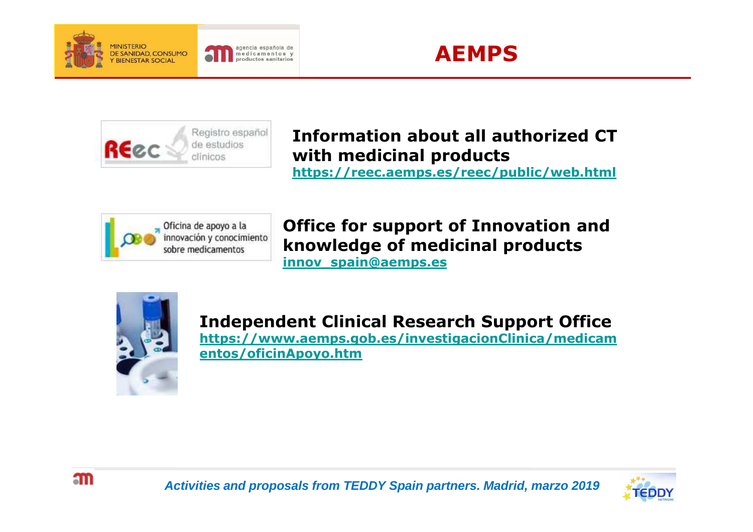





**Information about all authorized CTwith medicinal productshttps://reec.aemps.es/reec/public/web.html**



**Office for support of Innovation and knowledge of medicinal products innov\_spain@aemps.es**



**Independent Clinical Research Support Office** 

 **https://www.aemps.gob.es/investigacionClinica/medicamentos/oficinApoyo.htm**